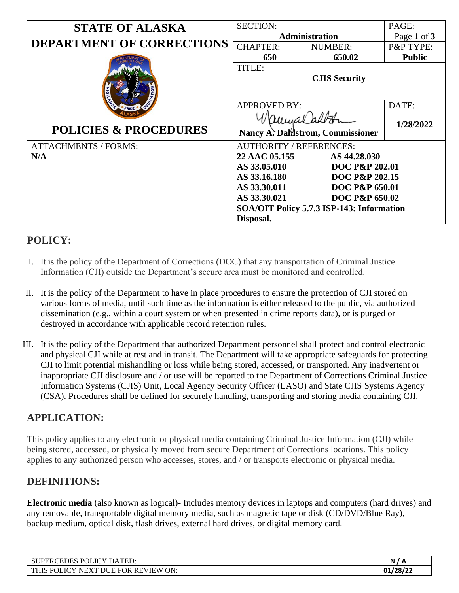| <b>STATE OF ALASKA</b>                    | <b>SECTION:</b>                              |                           | PAGE:         |
|-------------------------------------------|----------------------------------------------|---------------------------|---------------|
|                                           | <b>Administration</b>                        |                           | Page 1 of 3   |
| <b>DEPARTMENT OF CORRECTIONS</b>          | <b>CHAPTER:</b>                              | <b>NUMBER:</b>            | P&P TYPE:     |
|                                           | 650                                          | 650.02                    | <b>Public</b> |
|                                           | <b>TITLE:</b><br><b>CJIS Security</b>        |                           |               |
|                                           | <b>APPROVED BY:</b>                          |                           | DATE:         |
| <b>POLICIES &amp; PROCEDURES</b>          | amuralal<br>Nancy A. Dallstrom, Commissioner |                           | 1/28/2022     |
| <b>ATTACHMENTS / FORMS:</b>               | <b>AUTHORITY / REFERENCES:</b>               |                           |               |
| N/A                                       | 22 AAC 05.155<br>AS 44.28.030                |                           |               |
|                                           | AS 33.05.010<br><b>DOC P&amp;P 202.01</b>    |                           |               |
|                                           | AS 33.16.180                                 | DOC P&P 202.15            |               |
|                                           | AS 33.30.011                                 | <b>DOC P&amp;P 650.01</b> |               |
|                                           | AS 33.30.021                                 | <b>DOC P&amp;P 650.02</b> |               |
| SOA/OIT Policy 5.7.3 ISP-143: Information |                                              |                           |               |
|                                           | Disposal.                                    |                           |               |

# **POLICY:**

- I. It is the policy of the Department of Corrections (DOC) that any transportation of Criminal Justice Information (CJI) outside the Department's secure area must be monitored and controlled.
- II. It is the policy of the Department to have in place procedures to ensure the protection of CJI stored on various forms of media, until such time as the information is either released to the public, via authorized dissemination (e.g., within a court system or when presented in crime reports data), or is purged or destroyed in accordance with applicable record retention rules.
- III. It is the policy of the Department that authorized Department personnel shall protect and control electronic and physical CJI while at rest and in transit. The Department will take appropriate safeguards for protecting CJI to limit potential mishandling or loss while being stored, accessed, or transported. Any inadvertent or inappropriate CJI disclosure and / or use will be reported to the Department of Corrections Criminal Justice Information Systems (CJIS) Unit, Local Agency Security Officer (LASO) and State CJIS Systems Agency (CSA). Procedures shall be defined for securely handling, transporting and storing media containing CJI.

# **APPLICATION:**

This policy applies to any electronic or physical media containing Criminal Justice Information (CJI) while being stored, accessed, or physically moved from secure Department of Corrections locations. This policy applies to any authorized person who accesses, stores, and / or transports electronic or physical media.

### **DEFINITIONS:**

**Electronic media** (also known as logical)- Includes memory devices in laptops and computers (hard drives) and any removable, transportable digital memory media, such as magnetic tape or disk (CD/DVD/Blue Ray), backup medium, optical disk, flash drives, external hard drives, or digital memory card.

| P <sub>OL</sub><br><b>JCY</b><br>TED:<br><b>SUPE</b><br>DA.<br>EDE.<br>'ER( | N<br>A        |
|-----------------------------------------------------------------------------|---------------|
| THI.<br>ON:<br><b>REVIEW</b><br><b>FOR</b><br>DHF<br>$D\cap$<br>NF<br>ת די  | /28/22<br>01, |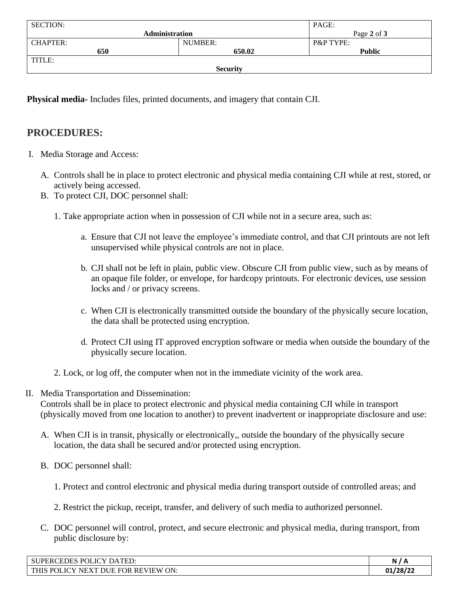| <b>SECTION:</b>       |         | PAGE:                |  |  |
|-----------------------|---------|----------------------|--|--|
| <b>Administration</b> |         | Page 2 of 3          |  |  |
| <b>CHAPTER:</b>       | NUMBER: | <b>P&amp;P TYPE:</b> |  |  |
| 650                   | 650.02  | <b>Public</b>        |  |  |
| TITLE:                |         |                      |  |  |
| <b>Security</b>       |         |                      |  |  |

**Physical media-** Includes files, printed documents, and imagery that contain CJI.

# **PROCEDURES:**

- I. Media Storage and Access:
	- A. Controls shall be in place to protect electronic and physical media containing CJI while at rest, stored, or actively being accessed.
	- B. To protect CJI, DOC personnel shall:
		- 1. Take appropriate action when in possession of CJI while not in a secure area, such as:
			- a. Ensure that CJI not leave the employee's immediate control, and that CJI printouts are not left unsupervised while physical controls are not in place.
			- b. CJI shall not be left in plain, public view. Obscure CJI from public view, such as by means of an opaque file folder, or envelope, for hardcopy printouts. For electronic devices, use session locks and / or privacy screens.
			- c. When CJI is electronically transmitted outside the boundary of the physically secure location, the data shall be protected using encryption.
			- d. Protect CJI using IT approved encryption software or media when outside the boundary of the physically secure location.
		- 2. Lock, or log off, the computer when not in the immediate vicinity of the work area.
- II. Media Transportation and Dissemination:

Controls shall be in place to protect electronic and physical media containing CJI while in transport (physically moved from one location to another) to prevent inadvertent or inappropriate disclosure and use:

- A. When CJI is in transit, physically or electronically,, outside the boundary of the physically secure location, the data shall be secured and/or protected using encryption.
- B. DOC personnel shall:
	- 1. Protect and control electronic and physical media during transport outside of controlled areas; and
	- 2. Restrict the pickup, receipt, transfer, and delivery of such media to authorized personnel.
- C. DOC personnel will control, protect, and secure electronic and physical media, during transport, from public disclosure by:

| POLICY DAT<br><b>CEDES</b><br>$\lq$ TED:<br><b>SUPERC</b>                                                         | N        |
|-------------------------------------------------------------------------------------------------------------------|----------|
| ON:<br>DHE<br><b>REVIEW</b><br><b>THIS</b><br><b>FOR</b><br>.JCY<br>$\mathbf{v}$<br><b>DO</b><br>NF.<br>$\lambda$ | 01/28/22 |